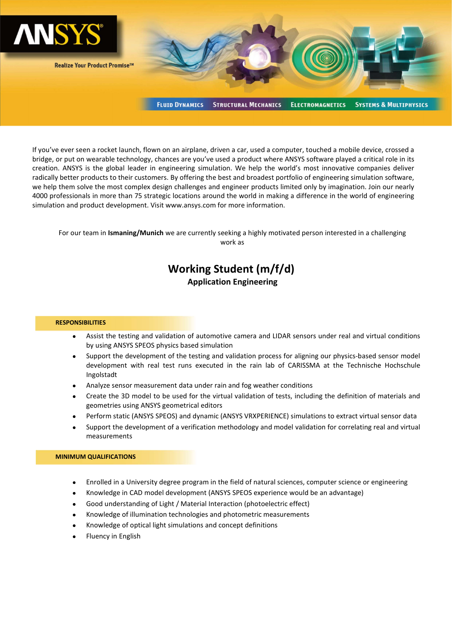

If you've ever seen a rocket launch, flown on an airplane, driven a car, used a computer, touched a mobile device, crossed a bridge, or put on wearable technology, chances are you've used a product where ANSYS software played a critical role in its creation. ANSYS is the global leader in engineering simulation. We help the world's most innovative companies deliver radically better products to their customers. By offering the best and broadest portfolio of engineering simulation software, we help them solve the most complex design challenges and engineer products limited only by imagination. Join our nearly 4000 professionals in more than 75 strategic locations around the world in making a difference in the world of engineering simulation and product development. Visit www.ansys.com for more information.

For our team in Ismaning/Munich we are currently seeking a highly motivated person interested in a challenging work as

# Working Student (m/f/d) Application Engineering

## **RESPONSIBILITIES**

- Assist the testing and validation of automotive camera and LIDAR sensors under real and virtual conditions by using ANSYS SPEOS physics based simulation
- Support the development of the testing and validation process for aligning our physics-based sensor model development with real test runs executed in the rain lab of CARISSMA at the Technische Hochschule Ingolstadt
- Analyze sensor measurement data under rain and fog weather conditions
- Create the 3D model to be used for the virtual validation of tests, including the definition of materials and geometries using ANSYS geometrical editors
- Perform static (ANSYS SPEOS) and dynamic (ANSYS VRXPERIENCE) simulations to extract virtual sensor data
- Support the development of a verification methodology and model validation for correlating real and virtual measurements

#### MINIMUM QUALIFICATIONS

- Enrolled in a University degree program in the field of natural sciences, computer science or engineering
- Knowledge in CAD model development (ANSYS SPEOS experience would be an advantage)
- Good understanding of Light / Material Interaction (photoelectric effect)
- Knowledge of illumination technologies and photometric measurements
- Knowledge of optical light simulations and concept definitions
- Fluency in English